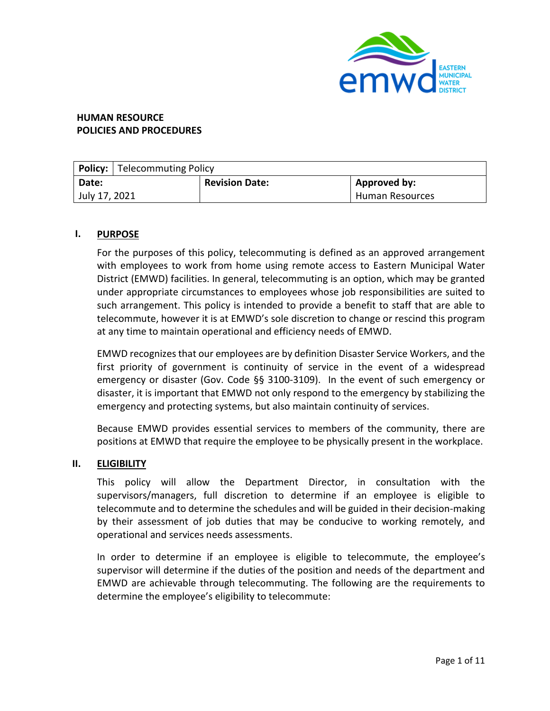

# **HUMAN RESOURCE POLICIES AND PROCEDURES**

|               | <b>Policy:</b> Telecommuting Policy |                       |                        |  |  |  |  |
|---------------|-------------------------------------|-----------------------|------------------------|--|--|--|--|
| Date:         |                                     | <b>Revision Date:</b> | Approved by:           |  |  |  |  |
| July 17, 2021 |                                     |                       | <b>Human Resources</b> |  |  |  |  |

## **I. PURPOSE**

For the purposes of this policy, telecommuting is defined as an approved arrangement with employees to work from home using remote access to Eastern Municipal Water District (EMWD) facilities. In general, telecommuting is an option, which may be granted under appropriate circumstances to employees whose job responsibilities are suited to such arrangement. This policy is intended to provide a benefit to staff that are able to telecommute, however it is at EMWD's sole discretion to change or rescind this program at any time to maintain operational and efficiency needs of EMWD.

EMWD recognizes that our employees are by definition Disaster Service Workers, and the first priority of government is continuity of service in the event of a widespread emergency or disaster (Gov. Code §§ 3100-3109). In the event of such emergency or disaster, it is important that EMWD not only respond to the emergency by stabilizing the emergency and protecting systems, but also maintain continuity of services.

Because EMWD provides essential services to members of the community, there are positions at EMWD that require the employee to be physically present in the workplace.

#### **II. ELIGIBILITY**

This policy will allow the Department Director, in consultation with the supervisors/managers, full discretion to determine if an employee is eligible to telecommute and to determine the schedules and will be guided in their decision-making by their assessment of job duties that may be conducive to working remotely, and operational and services needs assessments.

In order to determine if an employee is eligible to telecommute, the employee's supervisor will determine if the duties of the position and needs of the department and EMWD are achievable through telecommuting. The following are the requirements to determine the employee's eligibility to telecommute: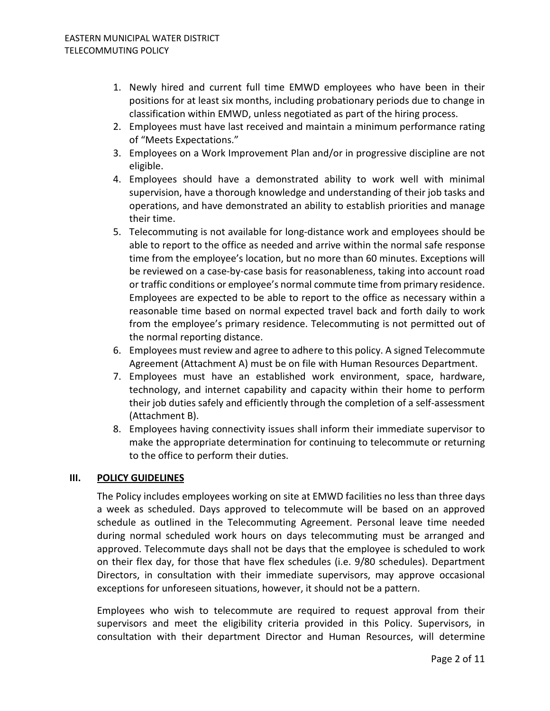- 1. Newly hired and current full time EMWD employees who have been in their positions for at least six months, including probationary periods due to change in classification within EMWD, unless negotiated as part of the hiring process.
- 2. Employees must have last received and maintain a minimum performance rating of "Meets Expectations."
- 3. Employees on a Work Improvement Plan and/or in progressive discipline are not eligible.
- 4. Employees should have a demonstrated ability to work well with minimal supervision, have a thorough knowledge and understanding of their job tasks and operations, and have demonstrated an ability to establish priorities and manage their time.
- 5. Telecommuting is not available for long-distance work and employees should be able to report to the office as needed and arrive within the normal safe response time from the employee's location, but no more than 60 minutes. Exceptions will be reviewed on a case-by-case basis for reasonableness, taking into account road or traffic conditions or employee's normal commute time from primary residence. Employees are expected to be able to report to the office as necessary within a reasonable time based on normal expected travel back and forth daily to work from the employee's primary residence. Telecommuting is not permitted out of the normal reporting distance.
- 6. Employees must review and agree to adhere to this policy. A signed Telecommute Agreement (Attachment A) must be on file with Human Resources Department.
- 7. Employees must have an established work environment, space, hardware, technology, and internet capability and capacity within their home to perform their job duties safely and efficiently through the completion of a self-assessment (Attachment B).
- 8. Employees having connectivity issues shall inform their immediate supervisor to make the appropriate determination for continuing to telecommute or returning to the office to perform their duties.

# **III. POLICY GUIDELINES**

The Policy includes employees working on site at EMWD facilities no less than three days a week as scheduled. Days approved to telecommute will be based on an approved schedule as outlined in the Telecommuting Agreement. Personal leave time needed during normal scheduled work hours on days telecommuting must be arranged and approved. Telecommute days shall not be days that the employee is scheduled to work on their flex day, for those that have flex schedules (i.e. 9/80 schedules). Department Directors, in consultation with their immediate supervisors, may approve occasional exceptions for unforeseen situations, however, it should not be a pattern.

Employees who wish to telecommute are required to request approval from their supervisors and meet the eligibility criteria provided in this Policy. Supervisors, in consultation with their department Director and Human Resources, will determine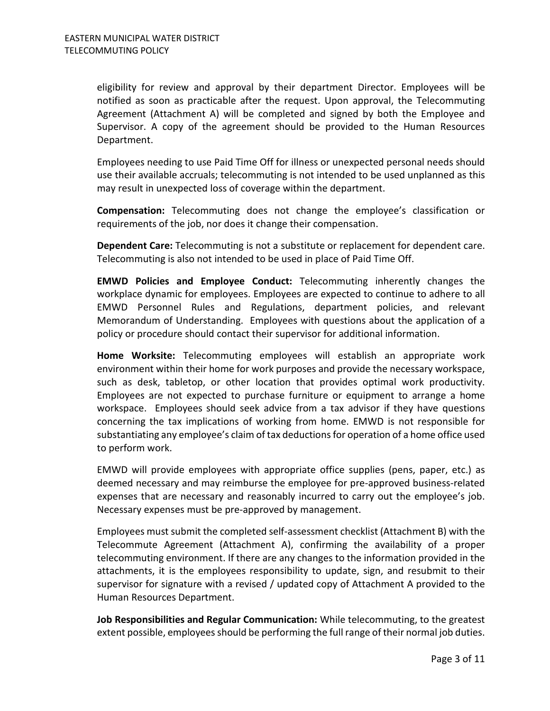eligibility for review and approval by their department Director. Employees will be notified as soon as practicable after the request. Upon approval, the Telecommuting Agreement (Attachment A) will be completed and signed by both the Employee and Supervisor. A copy of the agreement should be provided to the Human Resources Department.

Employees needing to use Paid Time Off for illness or unexpected personal needs should use their available accruals; telecommuting is not intended to be used unplanned as this may result in unexpected loss of coverage within the department.

**Compensation:** Telecommuting does not change the employee's classification or requirements of the job, nor does it change their compensation.

**Dependent Care:** Telecommuting is not a substitute or replacement for dependent care. Telecommuting is also not intended to be used in place of Paid Time Off.

**EMWD Policies and Employee Conduct:** Telecommuting inherently changes the workplace dynamic for employees. Employees are expected to continue to adhere to all EMWD Personnel Rules and Regulations, department policies, and relevant Memorandum of Understanding. Employees with questions about the application of a policy or procedure should contact their supervisor for additional information.

**Home Worksite:** Telecommuting employees will establish an appropriate work environment within their home for work purposes and provide the necessary workspace, such as desk, tabletop, or other location that provides optimal work productivity. Employees are not expected to purchase furniture or equipment to arrange a home workspace. Employees should seek advice from a tax advisor if they have questions concerning the tax implications of working from home. EMWD is not responsible for substantiating any employee's claim of tax deductions for operation of a home office used to perform work.

EMWD will provide employees with appropriate office supplies (pens, paper, etc.) as deemed necessary and may reimburse the employee for pre-approved business-related expenses that are necessary and reasonably incurred to carry out the employee's job. Necessary expenses must be pre-approved by management.

Employees must submit the completed self-assessment checklist (Attachment B) with the Telecommute Agreement (Attachment A), confirming the availability of a proper telecommuting environment. If there are any changes to the information provided in the attachments, it is the employees responsibility to update, sign, and resubmit to their supervisor for signature with a revised / updated copy of Attachment A provided to the Human Resources Department.

**Job Responsibilities and Regular Communication:** While telecommuting, to the greatest extent possible, employees should be performing the full range of their normal job duties.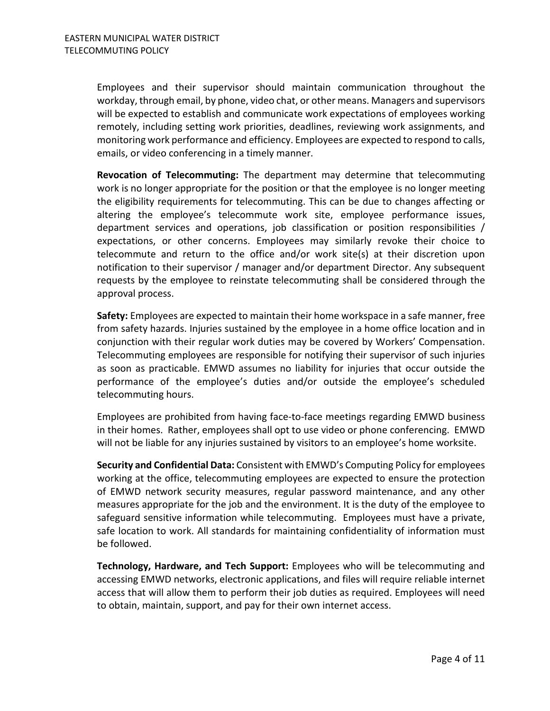Employees and their supervisor should maintain communication throughout the workday, through email, by phone, video chat, or other means. Managers and supervisors will be expected to establish and communicate work expectations of employees working remotely, including setting work priorities, deadlines, reviewing work assignments, and monitoring work performance and efficiency. Employees are expected to respond to calls, emails, or video conferencing in a timely manner.

**Revocation of Telecommuting:** The department may determine that telecommuting work is no longer appropriate for the position or that the employee is no longer meeting the eligibility requirements for telecommuting. This can be due to changes affecting or altering the employee's telecommute work site, employee performance issues, department services and operations, job classification or position responsibilities / expectations, or other concerns. Employees may similarly revoke their choice to telecommute and return to the office and/or work site(s) at their discretion upon notification to their supervisor / manager and/or department Director. Any subsequent requests by the employee to reinstate telecommuting shall be considered through the approval process.

**Safety:** Employees are expected to maintain their home workspace in a safe manner, free from safety hazards. Injuries sustained by the employee in a home office location and in conjunction with their regular work duties may be covered by Workers' Compensation. Telecommuting employees are responsible for notifying their supervisor of such injuries as soon as practicable. EMWD assumes no liability for injuries that occur outside the performance of the employee's duties and/or outside the employee's scheduled telecommuting hours.

Employees are prohibited from having face-to-face meetings regarding EMWD business in their homes. Rather, employees shall opt to use video or phone conferencing. EMWD will not be liable for any injuries sustained by visitors to an employee's home worksite.

**Security and Confidential Data:** Consistent with EMWD's Computing Policy for employees working at the office, telecommuting employees are expected to ensure the protection of EMWD network security measures, regular password maintenance, and any other measures appropriate for the job and the environment. It is the duty of the employee to safeguard sensitive information while telecommuting. Employees must have a private, safe location to work. All standards for maintaining confidentiality of information must be followed.

**Technology, Hardware, and Tech Support:** Employees who will be telecommuting and accessing EMWD networks, electronic applications, and files will require reliable internet access that will allow them to perform their job duties as required. Employees will need to obtain, maintain, support, and pay for their own internet access.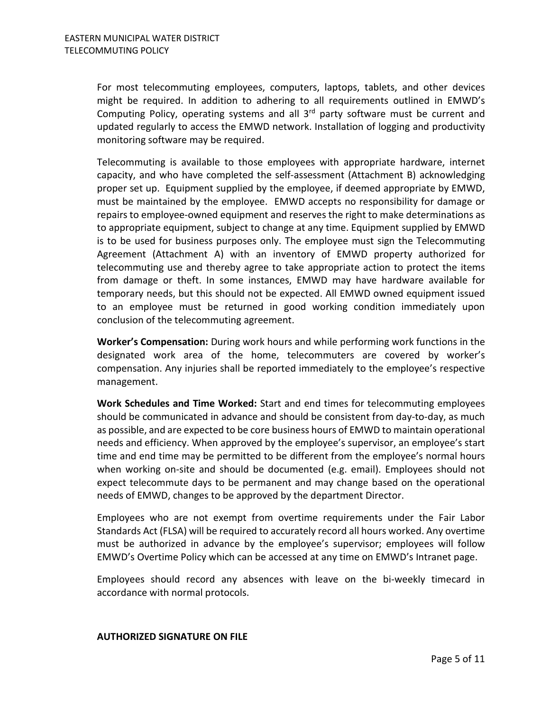For most telecommuting employees, computers, laptops, tablets, and other devices might be required. In addition to adhering to all requirements outlined in EMWD's Computing Policy, operating systems and all  $3<sup>rd</sup>$  party software must be current and updated regularly to access the EMWD network. Installation of logging and productivity monitoring software may be required.

Telecommuting is available to those employees with appropriate hardware, internet capacity, and who have completed the self-assessment (Attachment B) acknowledging proper set up. Equipment supplied by the employee, if deemed appropriate by EMWD, must be maintained by the employee. EMWD accepts no responsibility for damage or repairs to employee-owned equipment and reserves the right to make determinations as to appropriate equipment, subject to change at any time. Equipment supplied by EMWD is to be used for business purposes only. The employee must sign the Telecommuting Agreement (Attachment A) with an inventory of EMWD property authorized for telecommuting use and thereby agree to take appropriate action to protect the items from damage or theft. In some instances, EMWD may have hardware available for temporary needs, but this should not be expected. All EMWD owned equipment issued to an employee must be returned in good working condition immediately upon conclusion of the telecommuting agreement.

**Worker's Compensation:** During work hours and while performing work functions in the designated work area of the home, telecommuters are covered by worker's compensation. Any injuries shall be reported immediately to the employee's respective management.

**Work Schedules and Time Worked:** Start and end times for telecommuting employees should be communicated in advance and should be consistent from day-to-day, as much as possible, and are expected to be core business hours of EMWD to maintain operational needs and efficiency. When approved by the employee's supervisor, an employee's start time and end time may be permitted to be different from the employee's normal hours when working on-site and should be documented (e.g. email). Employees should not expect telecommute days to be permanent and may change based on the operational needs of EMWD, changes to be approved by the department Director.

Employees who are not exempt from overtime requirements under the Fair Labor Standards Act (FLSA) will be required to accurately record all hours worked. Any overtime must be authorized in advance by the employee's supervisor; employees will follow EMWD's Overtime Policy which can be accessed at any time on EMWD's Intranet page.

Employees should record any absences with leave on the bi-weekly timecard in accordance with normal protocols.

#### **AUTHORIZED SIGNATURE ON FILE**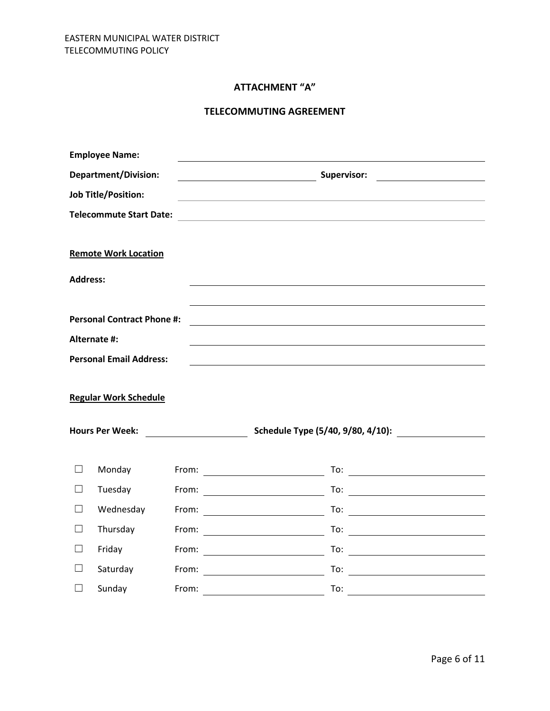# **ATTACHMENT "A"**

# **TELECOMMUTING AGREEMENT**

|                             | <b>Employee Name:</b>             |       |                                                                                           |
|-----------------------------|-----------------------------------|-------|-------------------------------------------------------------------------------------------|
| <b>Department/Division:</b> |                                   |       | Supervisor:                                                                               |
| <b>Job Title/Position:</b>  |                                   |       |                                                                                           |
|                             | <b>Telecommute Start Date:</b>    |       | the control of the control of the control of the control of the control of the control of |
|                             | <b>Remote Work Location</b>       |       |                                                                                           |
| <b>Address:</b>             |                                   |       |                                                                                           |
|                             | <b>Personal Contract Phone #:</b> |       |                                                                                           |
|                             | Alternate #:                      |       |                                                                                           |
|                             | <b>Personal Email Address:</b>    |       |                                                                                           |
|                             | <b>Regular Work Schedule</b>      |       |                                                                                           |
|                             | <b>Hours Per Week:</b>            |       | Schedule Type (5/40, 9/80, 4/10):                                                         |
| $\Box$                      | Monday                            |       | To: $\overline{\phantom{a}}$                                                              |
| $\Box$                      | Tuesday                           |       |                                                                                           |
| $\Box$                      | Wednesday                         |       | To: $\overline{\phantom{a}}$                                                              |
| П                           | Thursday                          |       | To: $\qquad \qquad$                                                                       |
| П                           | Friday                            |       |                                                                                           |
| $\Box$                      | Saturday                          |       | From: <u>_______________</u><br>To: $\qquad \qquad \qquad$                                |
| П                           | Sunday                            | From: | To:                                                                                       |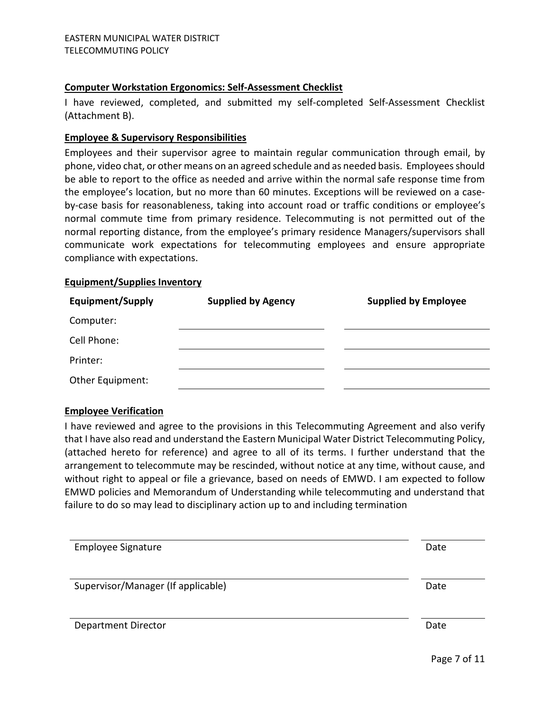#### **Computer Workstation Ergonomics: Self-Assessment Checklist**

I have reviewed, completed, and submitted my self-completed Self-Assessment Checklist (Attachment B).

## **Employee & Supervisory Responsibilities**

Employees and their supervisor agree to maintain regular communication through email, by phone, video chat, or other means on an agreed schedule and as needed basis. Employees should be able to report to the office as needed and arrive within the normal safe response time from the employee's location, but no more than 60 minutes. Exceptions will be reviewed on a caseby-case basis for reasonableness, taking into account road or traffic conditions or employee's normal commute time from primary residence. Telecommuting is not permitted out of the normal reporting distance, from the employee's primary residence Managers/supervisors shall communicate work expectations for telecommuting employees and ensure appropriate compliance with expectations.

#### **Equipment/Supplies Inventory**

| <b>Equipment/Supply</b> | <b>Supplied by Agency</b> | <b>Supplied by Employee</b> |  |
|-------------------------|---------------------------|-----------------------------|--|
| Computer:               |                           |                             |  |
| Cell Phone:             |                           |                             |  |
| Printer:                |                           |                             |  |
| Other Equipment:        |                           |                             |  |

# **Employee Verification**

I have reviewed and agree to the provisions in this Telecommuting Agreement and also verify that I have also read and understand the Eastern Municipal Water District Telecommuting Policy, (attached hereto for reference) and agree to all of its terms. I further understand that the arrangement to telecommute may be rescinded, without notice at any time, without cause, and without right to appeal or file a grievance, based on needs of EMWD. I am expected to follow EMWD policies and Memorandum of Understanding while telecommuting and understand that failure to do so may lead to disciplinary action up to and including termination

| <b>Employee Signature</b>          | Date |
|------------------------------------|------|
| Supervisor/Manager (If applicable) | Date |
|                                    |      |
|                                    |      |
| <b>Department Director</b>         | Date |
|                                    |      |

Page 7 of 11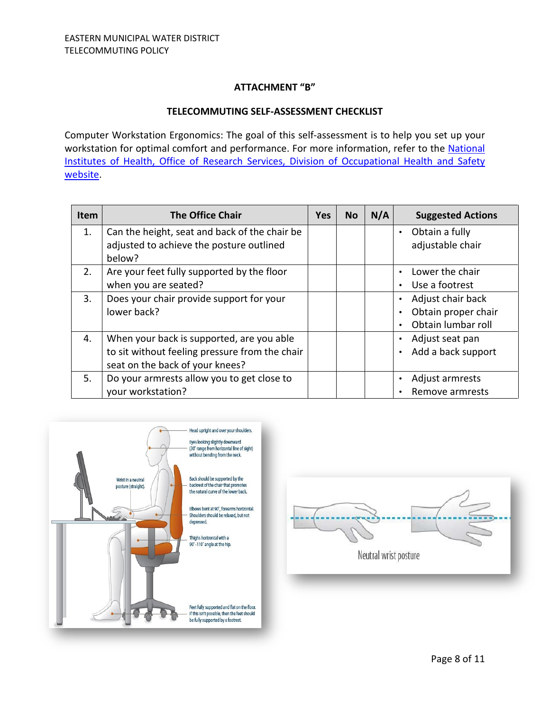# **ATTACHMENT "B"**

#### **TELECOMMUTING SELF-ASSESSMENT CHECKLIST**

Computer Workstation Ergonomics: The goal of this self-assessment is to help you set up your workstation for optimal comfort and performance. For more information, refer to the [National](https://www.ors.od.nih.gov/sr/dohs/Pages/default.aspx)  [Institutes of Health, Office of Research Services, Division of Occupational Health and Safety](https://www.ors.od.nih.gov/sr/dohs/Pages/default.aspx)  [website.](https://www.ors.od.nih.gov/sr/dohs/Pages/default.aspx)

| <b>Item</b> | <b>The Office Chair</b>                        | <b>Yes</b> | <b>No</b> | N/A | <b>Suggested Actions</b> |
|-------------|------------------------------------------------|------------|-----------|-----|--------------------------|
| 1.          | Can the height, seat and back of the chair be  |            |           |     | Obtain a fully           |
|             | adjusted to achieve the posture outlined       |            |           |     | adjustable chair         |
|             | below?                                         |            |           |     |                          |
| 2.          | Are your feet fully supported by the floor     |            |           |     | Lower the chair          |
|             | when you are seated?                           |            |           |     | Use a footrest           |
| 3.          | Does your chair provide support for your       |            |           |     | Adjust chair back        |
|             | lower back?                                    |            |           |     | Obtain proper chair      |
|             |                                                |            |           |     | Obtain lumbar roll       |
| 4.          | When your back is supported, are you able      |            |           |     | Adjust seat pan          |
|             | to sit without feeling pressure from the chair |            |           |     | Add a back support       |
|             | seat on the back of your knees?                |            |           |     |                          |
| 5.          | Do your armrests allow you to get close to     |            |           |     | Adjust armrests          |
|             | your workstation?                              |            |           |     | Remove armrests          |



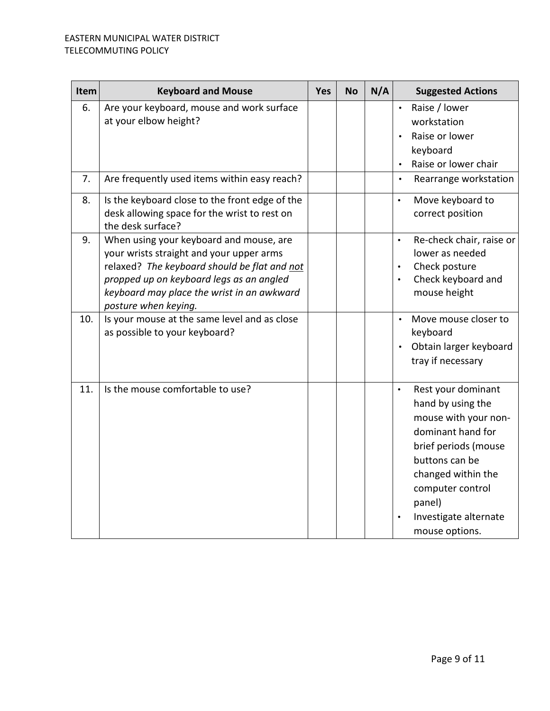| Item | <b>Keyboard and Mouse</b>                                                                                                                                                                                                                             | <b>Yes</b> | <b>No</b> | N/A | <b>Suggested Actions</b>                                                                                                                                                                                                                   |
|------|-------------------------------------------------------------------------------------------------------------------------------------------------------------------------------------------------------------------------------------------------------|------------|-----------|-----|--------------------------------------------------------------------------------------------------------------------------------------------------------------------------------------------------------------------------------------------|
| 6.   | Are your keyboard, mouse and work surface<br>at your elbow height?                                                                                                                                                                                    |            |           |     | Raise / lower<br>$\bullet$<br>workstation<br>Raise or lower<br>keyboard<br>Raise or lower chair<br>$\bullet$                                                                                                                               |
| 7.   | Are frequently used items within easy reach?                                                                                                                                                                                                          |            |           |     | Rearrange workstation<br>$\bullet$                                                                                                                                                                                                         |
| 8.   | Is the keyboard close to the front edge of the<br>desk allowing space for the wrist to rest on<br>the desk surface?                                                                                                                                   |            |           |     | Move keyboard to<br>$\bullet$<br>correct position                                                                                                                                                                                          |
| 9.   | When using your keyboard and mouse, are<br>your wrists straight and your upper arms<br>relaxed? The keyboard should be flat and not<br>propped up on keyboard legs as an angled<br>keyboard may place the wrist in an awkward<br>posture when keying. |            |           |     | Re-check chair, raise or<br>$\bullet$<br>lower as needed<br>Check posture<br>$\bullet$<br>Check keyboard and<br>$\bullet$<br>mouse height                                                                                                  |
| 10.  | Is your mouse at the same level and as close<br>as possible to your keyboard?                                                                                                                                                                         |            |           |     | Move mouse closer to<br>keyboard<br>Obtain larger keyboard<br>tray if necessary                                                                                                                                                            |
| 11.  | Is the mouse comfortable to use?                                                                                                                                                                                                                      |            |           |     | Rest your dominant<br>$\bullet$<br>hand by using the<br>mouse with your non-<br>dominant hand for<br>brief periods (mouse<br>buttons can be<br>changed within the<br>computer control<br>panel)<br>Investigate alternate<br>mouse options. |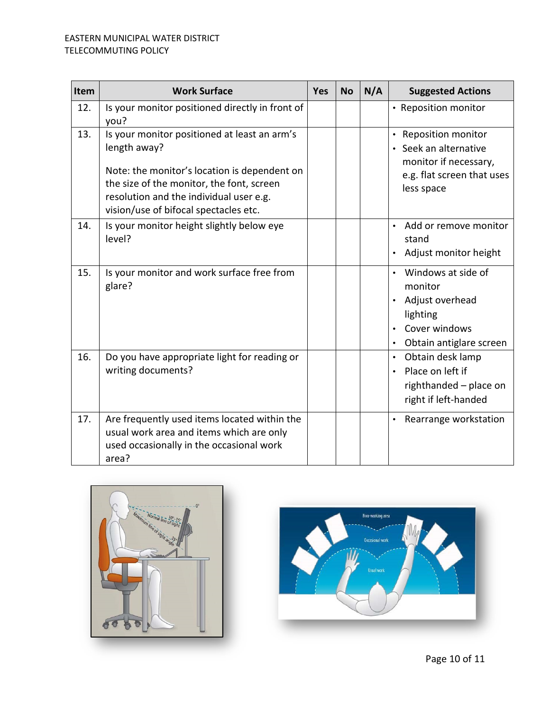# EASTERN MUNICIPAL WATER DISTRICT TELECOMMUTING POLICY

| Item | <b>Work Surface</b>                                                                                                                                                                                                                           | Yes | <b>No</b> | N/A | <b>Suggested Actions</b>                                                                                         |
|------|-----------------------------------------------------------------------------------------------------------------------------------------------------------------------------------------------------------------------------------------------|-----|-----------|-----|------------------------------------------------------------------------------------------------------------------|
| 12.  | Is your monitor positioned directly in front of<br>you?                                                                                                                                                                                       |     |           |     | • Reposition monitor                                                                                             |
| 13.  | Is your monitor positioned at least an arm's<br>length away?<br>Note: the monitor's location is dependent on<br>the size of the monitor, the font, screen<br>resolution and the individual user e.g.<br>vision/use of bifocal spectacles etc. |     |           |     | • Reposition monitor<br>Seek an alternative<br>monitor if necessary,<br>e.g. flat screen that uses<br>less space |
| 14.  | Is your monitor height slightly below eye<br>level?                                                                                                                                                                                           |     |           |     | Add or remove monitor<br>$\bullet$<br>stand<br>Adjust monitor height<br>$\bullet$                                |
| 15.  | Is your monitor and work surface free from<br>glare?                                                                                                                                                                                          |     |           |     | Windows at side of<br>monitor<br>Adjust overhead<br>lighting<br>Cover windows<br>Obtain antiglare screen         |
| 16.  | Do you have appropriate light for reading or<br>writing documents?                                                                                                                                                                            |     |           |     | Obtain desk lamp<br>$\bullet$<br>Place on left if<br>$\bullet$<br>righthanded - place on<br>right if left-handed |
| 17.  | Are frequently used items located within the<br>usual work area and items which are only<br>used occasionally in the occasional work<br>area?                                                                                                 |     |           |     | Rearrange workstation<br>$\bullet$                                                                               |